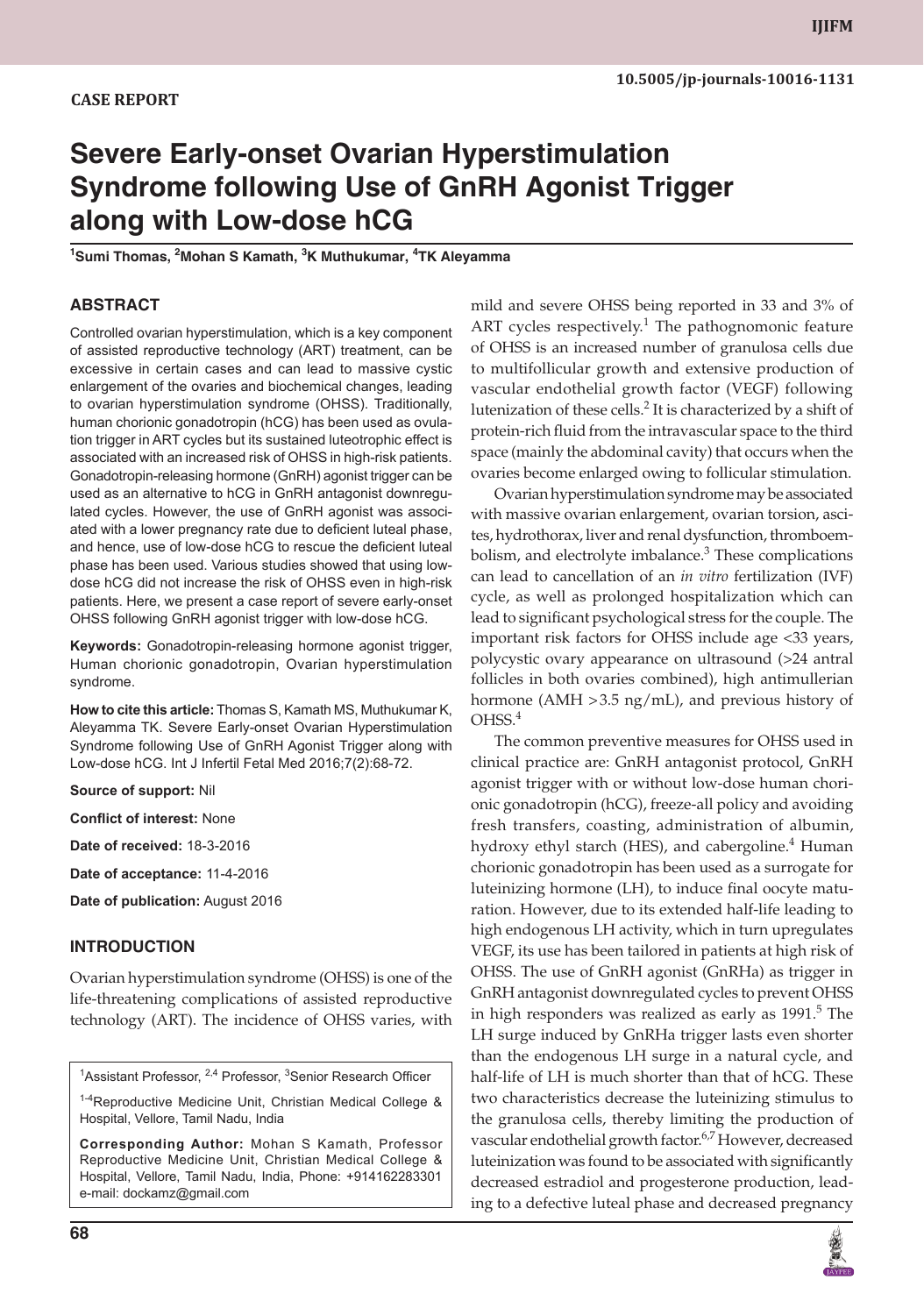# **Severe Early-onset Ovarian Hyperstimulation Syndrome following Use of GnRH Agonist Trigger along with Low-dose hCG**

**<sup>1</sup>Sumi Thomas, 2Mohan S Kamath, 3K Muthukumar, 4TK Aleyamma**

#### **ABSTRACT**

Controlled ovarian hyperstimulation, which is a key component of assisted reproductive technology (ART) treatment, can be excessive in certain cases and can lead to massive cystic enlargement of the ovaries and biochemical changes, leading to ovarian hyperstimulation syndrome (OHSS). Traditionally, human chorionic gonadotropin (hCG) has been used as ovulation trigger in ART cycles but its sustained luteotrophic effect is associated with an increased risk of OHSS in high-risk patients. Gonadotropin-releasing hormone (GnRH) agonist trigger can be used as an alternative to hCG in GnRH antagonist downregulated cycles. However, the use of GnRH agonist was associated with a lower pregnancy rate due to deficient luteal phase, and hence, use of low-dose hCG to rescue the deficient luteal phase has been used. Various studies showed that using lowdose hCG did not increase the risk of OHSS even in high-risk patients. Here, we present a case report of severe early-onset OHSS following GnRH agonist trigger with low-dose hCG.

**Keywords:** Gonadotropin-releasing hormone agonist trigger, Human chorionic gonadotropin, Ovarian hyperstimulation syndrome.

**How to cite this article:** Thomas S, Kamath MS, Muthukumar K, Aleyamma TK. Severe Early-onset Ovarian Hyperstimulation Syndrome following Use of GnRH Agonist Trigger along with Low-dose hCG. Int J Infertil Fetal Med 2016;7(2):68-72.

**Source of support:** Nil

**Conflict of interest:** None

**Date of received:** 18-3-2016

**Date of acceptance:** 11-4-2016

**Date of publication:** August 2016

#### **INTRODUCTION**

Ovarian hyperstimulation syndrome (OHSS) is one of the life-threatening complications of assisted reproductive technology (ART). The incidence of OHSS varies, with

 $1$ Assistant Professor,  $2,4$  Professor,  $3$ Senior Research Officer

1-4Reproductive Medicine Unit, Christian Medical College & Hospital, Vellore, Tamil Nadu, India

**Corresponding Author:** Mohan S Kamath, Professor Reproductive Medicine Unit, Christian Medical College & Hospital, Vellore, Tamil Nadu, India, Phone: +914162283301 e-mail: dockamz@gmail.com

mild and severe OHSS being reported in 33 and 3% of ART cycles respectively.<sup>1</sup> The pathognomonic feature of OHSS is an increased number of granulosa cells due to multifollicular growth and extensive production of vascular endothelial growth factor (VEGF) following lutenization of these cells. $^2$  It is characterized by a shift of protein-rich fluid from the intravascular space to the third space (mainly the abdominal cavity) that occurs when the ovaries become enlarged owing to follicular stimulation.

Ovarian hyperstimulation syndrome may be associated with massive ovarian enlargement, ovarian torsion, ascites, hydrothorax, liver and renal dysfunction, thromboembolism, and electrolyte imbalance.<sup>3</sup> These complications can lead to cancellation of an *in vitro* fertilization (IVF) cycle, as well as prolonged hospitalization which can lead to significant psychological stress for the couple. The important risk factors for OHSS include age <33 years, polycystic ovary appearance on ultrasound (>24 antral follicles in both ovaries combined), high antimullerian hormone (AMH > 3.5 ng/mL), and previous history of  $O<sub>HSS</sub><sup>4</sup>$ 

The common preventive measures for OHSS used in clinical practice are: GnRH antagonist protocol, GnRH agonist trigger with or without low-dose human chorionic gonadotropin (hCG), freeze-all policy and avoiding fresh transfers, coasting, administration of albumin, hydroxy ethyl starch (HES), and cabergoline.<sup>4</sup> Human chorionic gonadotropin has been used as a surrogate for luteinizing hormone (LH), to induce final oocyte maturation. However, due to its extended half-life leading to high endogenous LH activity, which in turn upregulates VEGF, its use has been tailored in patients at high risk of OHSS. The use of GnRH agonist (GnRHa) as trigger in GnRH antagonist downregulated cycles to prevent OHSS in high responders was realized as early as  $1991<sup>5</sup>$  The LH surge induced by GnRHa trigger lasts even shorter than the endogenous LH surge in a natural cycle, and half-life of LH is much shorter than that of hCG. These two characteristics decrease the luteinizing stimulus to the granulosa cells, thereby limiting the production of vascular endothelial growth factor.<sup>6,7</sup> However, decreased luteinization was found to be associated with significantly decreased estradiol and progesterone production, leading to a defective luteal phase and decreased pregnancy

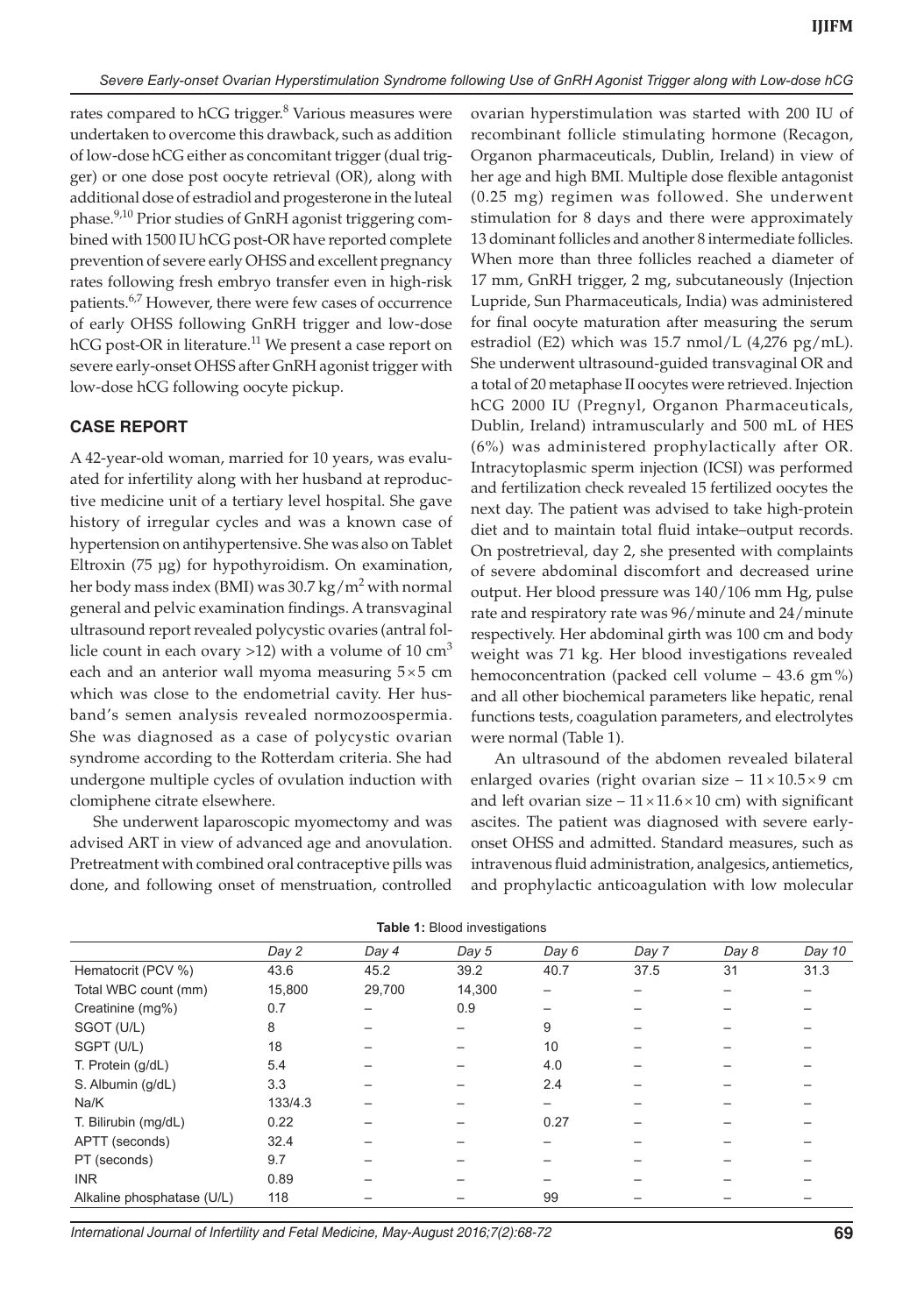rates compared to hCG trigger.<sup>8</sup> Various measures were undertaken to overcome this drawback, such as addition of low-dose hCG either as concomitant trigger (dual trigger) or one dose post oocyte retrieval (OR), along with additional dose of estradiol and progesterone in the luteal phase.9,10 Prior studies of GnRH agonist triggering combined with 1500 IU hCG post-OR have reported complete prevention of severe early OHSS and excellent pregnancy rates following fresh embryo transfer even in high-risk patients.<sup>6,7</sup> However, there were few cases of occurrence of early OHSS following GnRH trigger and low-dose  $hCG$  post-OR in literature.<sup>11</sup> We present a case report on severe early-onset OHSS after GnRH agonist trigger with low-dose hCG following oocyte pickup.

### **CASE REPORT**

A 42-year-old woman, married for 10 years, was evaluated for infertility along with her husband at reproductive medicine unit of a tertiary level hospital. She gave history of irregular cycles and was a known case of hypertension on antihypertensive. She was also on Tablet Eltroxin (75 µg) for hypothyroidism. On examination, her body mass index (BMI) was 30.7 kg/m<sup>2</sup> with normal general and pelvic examination findings. A transvaginal ultrasound report revealed polycystic ovaries (antral follicle count in each ovary >12) with a volume of 10  $\text{cm}^3$ each and an anterior wall myoma measuring  $5 \times 5$  cm which was close to the endometrial cavity. Her husband's semen analysis revealed normozoospermia. She was diagnosed as a case of polycystic ovarian syndrome according to the Rotterdam criteria. She had undergone multiple cycles of ovulation induction with clomiphene citrate elsewhere.

She underwent laparoscopic myomectomy and was advised ART in view of advanced age and anovulation. Pretreatment with combined oral contraceptive pills was done, and following onset of menstruation, controlled

ovarian hyperstimulation was started with 200 IU of recombinant follicle stimulating hormone (Recagon, Organon pharmaceuticals, Dublin, Ireland) in view of her age and high BMI. Multiple dose flexible antagonist (0.25 mg) regimen was followed. She underwent stimulation for 8 days and there were approximately 13 dominant follicles and another 8 intermediate follicles. When more than three follicles reached a diameter of 17 mm, GnRH trigger, 2 mg, subcutaneously (Injection Lupride, Sun Pharmaceuticals, India) was administered for final oocyte maturation after measuring the serum estradiol (E2) which was 15.7 nmol/L (4,276 pg/mL). She underwent ultrasound-guided transvaginal OR and a total of 20 metaphase II oocytes were retrieved. Injection hCG 2000 IU (Pregnyl, Organon Pharmaceuticals, Dublin, Ireland) intramuscularly and 500 mL of HES (6%) was administered prophylactically after OR. Intracytoplasmic sperm injection (ICSI) was performed and fertilization check revealed 15 fertilized oocytes the next day. The patient was advised to take high-protein diet and to maintain total fluid intake–output records. On postretrieval, day 2, she presented with complaints of severe abdominal discomfort and decreased urine output. Her blood pressure was 140/106 mm Hg, pulse rate and respiratory rate was 96/minute and 24/minute respectively. Her abdominal girth was 100 cm and body weight was 71 kg. Her blood investigations revealed hemoconcentration (packed cell volume – 43.6 gm %) and all other biochemical parameters like hepatic, renal functions tests, coagulation parameters, and electrolytes were normal (Table 1).

An ultrasound of the abdomen revealed bilateral enlarged ovaries (right ovarian size  $-11 \times 10.5 \times 9$  cm and left ovarian size –  $11 \times 11.6 \times 10$  cm) with significant ascites. The patient was diagnosed with severe earlyonset OHSS and admitted. Standard measures, such as intravenous fluid administration, analgesics, antiemetics, and prophylactic anticoagulation with low molecular

|                            | ັ       |        |        |       |       |       |        |
|----------------------------|---------|--------|--------|-------|-------|-------|--------|
|                            | Day 2   | Day 4  | Day 5  | Day 6 | Day 7 | Day 8 | Day 10 |
| Hematocrit (PCV %)         | 43.6    | 45.2   | 39.2   | 40.7  | 37.5  | 31    | 31.3   |
| Total WBC count (mm)       | 15,800  | 29,700 | 14,300 |       |       |       |        |
| Creatinine (mg%)           | 0.7     |        | 0.9    |       |       |       |        |
| SGOT (U/L)                 | 8       |        |        | 9     |       |       |        |
| SGPT (U/L)                 | 18      |        |        | 10    |       |       |        |
| T. Protein (g/dL)          | 5.4     |        |        | 4.0   |       |       |        |
| S. Albumin (g/dL)          | 3.3     |        |        | 2.4   |       |       |        |
| Na/K                       | 133/4.3 |        |        |       |       |       |        |
| T. Bilirubin (mg/dL)       | 0.22    |        |        | 0.27  |       |       |        |
| APTT (seconds)             | 32.4    |        |        |       |       |       |        |
| PT (seconds)               | 9.7     |        |        |       |       |       |        |
| <b>INR</b>                 | 0.89    |        |        |       |       |       |        |
| Alkaline phosphatase (U/L) | 118     |        |        | 99    |       |       |        |

**Table 1:** Blood investigations

International Journal of Infertility and Fetal Medicine, May-August 2016;7(2):68-72 **69**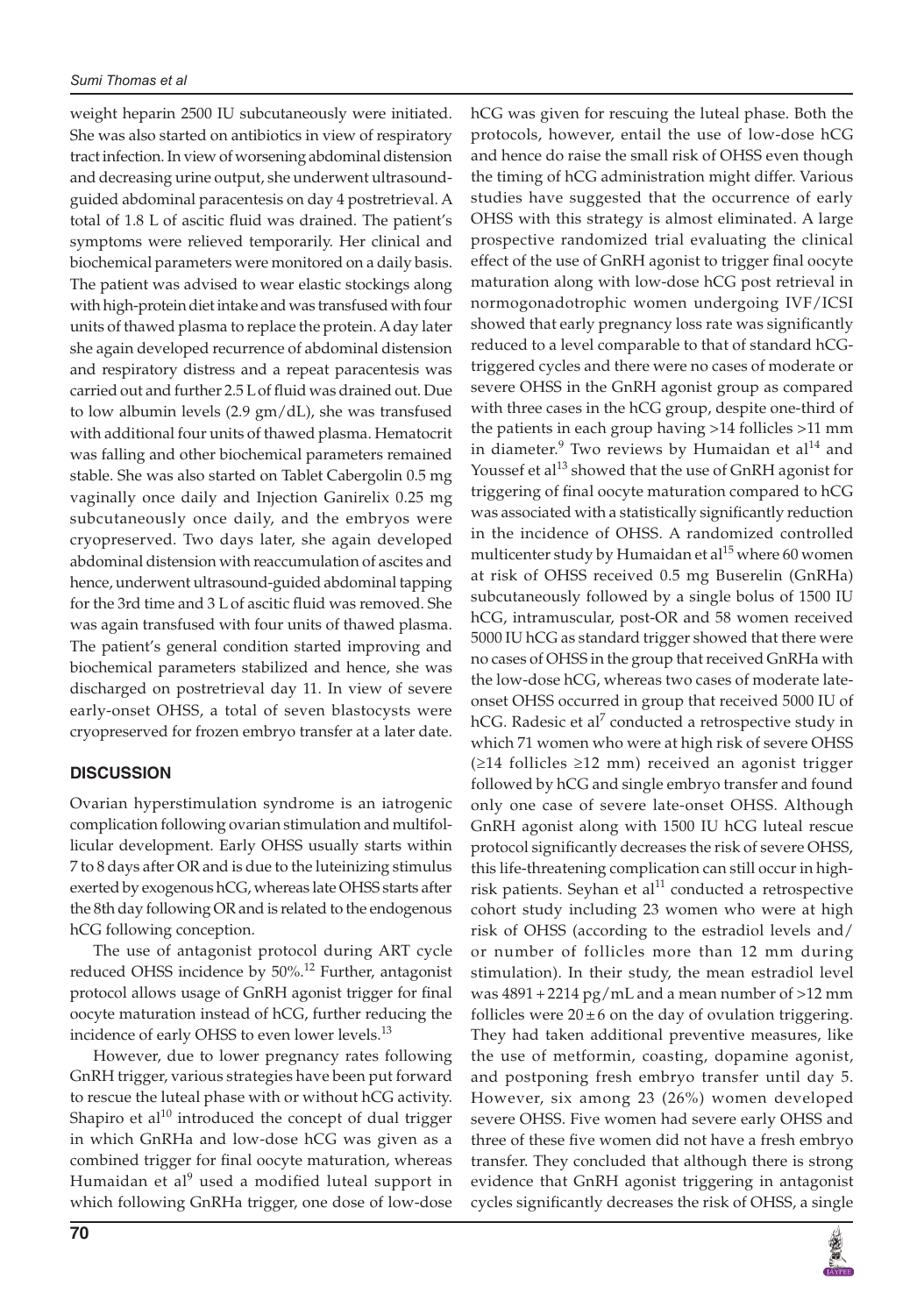weight heparin 2500 IU subcutaneously were initiated. She was also started on antibiotics in view of respiratory tract infection. In view of worsening abdominal distension and decreasing urine output, she underwent ultrasoundguided abdominal paracentesis on day 4 postretrieval. A total of 1.8 L of ascitic fluid was drained. The patient's symptoms were relieved temporarily. Her clinical and biochemical parameters were monitored on a daily basis. The patient was advised to wear elastic stockings along with high-protein diet intake and was transfused with four units of thawed plasma to replace the protein. A day later she again developed recurrence of abdominal distension and respiratory distress and a repeat paracentesis was carried out and further 2.5 L of fluid was drained out. Due to low albumin levels (2.9 gm/dL), she was transfused with additional four units of thawed plasma. Hematocrit was falling and other biochemical parameters remained stable. She was also started on Tablet Cabergolin 0.5 mg vaginally once daily and Injection Ganirelix 0.25 mg subcutaneously once daily, and the embryos were cryopreserved. Two days later, she again developed abdominal distension with reaccumulation of ascites and hence, underwent ultrasound-guided abdominal tapping for the 3rd time and 3 L of ascitic fluid was removed. She was again transfused with four units of thawed plasma. The patient's general condition started improving and biochemical parameters stabilized and hence, she was discharged on postretrieval day 11. In view of severe early-onset OHSS, a total of seven blastocysts were cryopreserved for frozen embryo transfer at a later date.

## **DISCUSSION**

Ovarian hyperstimulation syndrome is an iatrogenic complication following ovarian stimulation and multifollicular development. Early OHSS usually starts within 7 to 8 days after OR and is due to the luteinizing stimulus exerted by exogenous hCG, whereas late OHSS starts after the 8th day following OR and is related to the endogenous hCG following conception.

The use of antagonist protocol during ART cycle reduced OHSS incidence by 50%.<sup>12</sup> Further, antagonist protocol allows usage of GnRH agonist trigger for final oocyte maturation instead of hCG, further reducing the incidence of early OHSS to even lower levels.<sup>13</sup>

However, due to lower pregnancy rates following GnRH trigger, various strategies have been put forward to rescue the luteal phase with or without hCG activity. Shapiro et al<sup>10</sup> introduced the concept of dual trigger in which GnRHa and low-dose hCG was given as a combined trigger for final oocyte maturation, whereas Humaidan et al<sup>9</sup> used a modified luteal support in which following GnRHa trigger, one dose of low-dose

and hence do raise the small risk of OHSS even though the timing of hCG administration might differ. Various studies have suggested that the occurrence of early OHSS with this strategy is almost eliminated. A large prospective randomized trial evaluating the clinical effect of the use of GnRH agonist to trigger final oocyte maturation along with low-dose hCG post retrieval in normogonadotrophic women undergoing IVF/ICSI showed that early pregnancy loss rate was significantly reduced to a level comparable to that of standard hCGtriggered cycles and there were no cases of moderate or severe OHSS in the GnRH agonist group as compared with three cases in the hCG group, despite one-third of the patients in each group having >14 follicles >11 mm in diameter. $9$  Two reviews by Humaidan et al $^{14}$  and Youssef et al<sup>13</sup> showed that the use of GnRH agonist for triggering of final oocyte maturation compared to hCG was associated with a statistically significantly reduction in the incidence of OHSS. A randomized controlled multicenter study by Humaidan et al<sup>15</sup> where 60 women at risk of OHSS received 0.5 mg Buserelin (GnRHa) subcutaneously followed by a single bolus of 1500 IU hCG, intramuscular, post-OR and 58 women received 5000 IU hCG as standard trigger showed that there were no cases of OHSS in the group that received GnRHa with the low-dose hCG, whereas two cases of moderate lateonset OHSS occurred in group that received 5000 IU of hCG. Radesic et al<sup>7</sup> conducted a retrospective study in which 71 women who were at high risk of severe OHSS (≥14 follicles ≥12 mm) received an agonist trigger followed by hCG and single embryo transfer and found only one case of severe late-onset OHSS. Although GnRH agonist along with 1500 IU hCG luteal rescue protocol significantly decreases the risk of severe OHSS, this life-threatening complication can still occur in highrisk patients. Seyhan et al $11$  conducted a retrospective cohort study including 23 women who were at high risk of OHSS (according to the estradiol levels and/ or number of follicles more than 12 mm during stimulation). In their study, the mean estradiol level was 4891 + 2214 pg/mL and a mean number of >12 mm follicles were  $20 \pm 6$  on the day of ovulation triggering. They had taken additional preventive measures, like the use of metformin, coasting, dopamine agonist, and postponing fresh embryo transfer until day 5. However, six among 23 (26%) women developed severe OHSS. Five women had severe early OHSS and three of these five women did not have a fresh embryo transfer. They concluded that although there is strong evidence that GnRH agonist triggering in antagonist

cycles significantly decreases the risk of OHSS, a single

hCG was given for rescuing the luteal phase. Both the protocols, however, entail the use of low-dose hCG

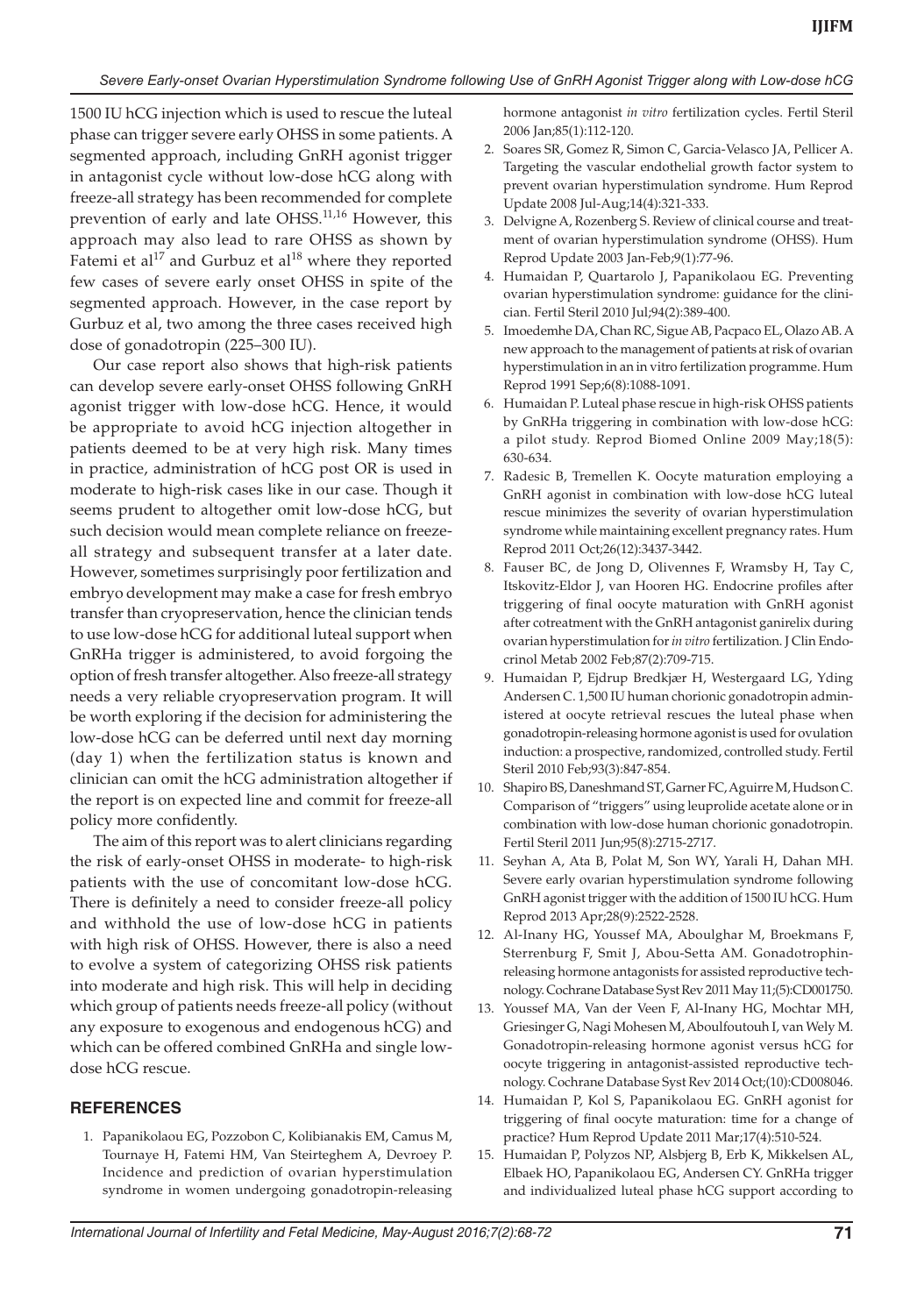1500 IU hCG injection which is used to rescue the luteal phase can trigger severe early OHSS in some patients. A segmented approach, including GnRH agonist trigger in antagonist cycle without low-dose hCG along with freeze-all strategy has been recommended for complete prevention of early and late OHSS.<sup>11,16</sup> However, this approach may also lead to rare OHSS as shown by Fatemi et al<sup>17</sup> and Gurbuz et al<sup>18</sup> where they reported few cases of severe early onset OHSS in spite of the segmented approach. However, in the case report by Gurbuz et al, two among the three cases received high dose of gonadotropin (225–300 IU).

Our case report also shows that high-risk patients can develop severe early-onset OHSS following GnRH agonist trigger with low-dose hCG. Hence, it would be appropriate to avoid hCG injection altogether in patients deemed to be at very high risk. Many times in practice, administration of hCG post OR is used in moderate to high-risk cases like in our case. Though it seems prudent to altogether omit low-dose hCG, but such decision would mean complete reliance on freezeall strategy and subsequent transfer at a later date. However, sometimes surprisingly poor fertilization and embryo development may make a case for fresh embryo transfer than cryopreservation, hence the clinician tends to use low-dose hCG for additional luteal support when GnRHa trigger is administered, to avoid forgoing the option of fresh transfer altogether. Also freeze-all strategy needs a very reliable cryopreservation program. It will be worth exploring if the decision for administering the low-dose hCG can be deferred until next day morning (day 1) when the fertilization status is known and clinician can omit the hCG administration altogether if the report is on expected line and commit for freeze-all policy more confidently.

The aim of this report was to alert clinicians regarding the risk of early-onset OHSS in moderate- to high-risk patients with the use of concomitant low-dose hCG. There is definitely a need to consider freeze-all policy and withhold the use of low-dose hCG in patients with high risk of OHSS. However, there is also a need to evolve a system of categorizing OHSS risk patients into moderate and high risk. This will help in deciding which group of patients needs freeze-all policy (without any exposure to exogenous and endogenous hCG) and which can be offered combined GnRHa and single lowdose hCG rescue.

### **REFERENCES**

 1. Papanikolaou EG, Pozzobon C, Kolibianakis EM, Camus M, Tournaye H, Fatemi HM, Van Steirteghem A, Devroey P. Incidence and prediction of ovarian hyperstimulation syndrome in women undergoing gonadotropin-releasing hormone antagonist *in vitro* fertilization cycles. Fertil Steril 2006 Jan;85(1):112-120.

- 2. Soares SR, Gomez R, Simon C, Garcia-Velasco JA, Pellicer A. Targeting the vascular endothelial growth factor system to prevent ovarian hyperstimulation syndrome. Hum Reprod Update 2008 Jul-Aug;14(4):321-333.
- 3. Delvigne A, Rozenberg S. Review of clinical course and treatment of ovarian hyperstimulation syndrome (OHSS). Hum Reprod Update 2003 Jan-Feb;9(1):77-96.
- 4. Humaidan P, Quartarolo J, Papanikolaou EG. Preventing ovarian hyperstimulation syndrome: guidance for the clinician. Fertil Steril 2010 Jul;94(2):389-400.
- 5. Imoedemhe DA, Chan RC, Sigue AB, Pacpaco EL, Olazo AB. A new approach to the management of patients at risk of ovarian hyperstimulation in an in vitro fertilization programme. Hum Reprod 1991 Sep;6(8):1088-1091.
- 6. Humaidan P. Luteal phase rescue in high-risk OHSS patients by GnRHa triggering in combination with low-dose hCG: a pilot study. Reprod Biomed Online 2009 May;18(5): 630-634.
- 7. Radesic B, Tremellen K. Oocyte maturation employing a GnRH agonist in combination with low-dose hCG luteal rescue minimizes the severity of ovarian hyperstimulation syndrome while maintaining excellent pregnancy rates. Hum Reprod 2011 Oct;26(12):3437-3442.
- 8. Fauser BC, de Jong D, Olivennes F, Wramsby H, Tay C, Itskovitz-Eldor J, van Hooren HG. Endocrine profiles after triggering of final oocyte maturation with GnRH agonist after cotreatment with the GnRH antagonist ganirelix during ovarian hyperstimulation for *in vitro* fertilization. J Clin Endocrinol Metab 2002 Feb;87(2):709-715.
- 9. Humaidan P, Ejdrup Bredkjær H, Westergaard LG, Yding Andersen C. 1,500 IU human chorionic gonadotropin administered at oocyte retrieval rescues the luteal phase when gonadotropin-releasing hormone agonist is used for ovulation induction: a prospective, randomized, controlled study. Fertil Steril 2010 Feb;93(3):847-854.
- 10. Shapiro BS, Daneshmand ST, Garner FC, Aguirre M, Hudson C. Comparison of "triggers" using leuprolide acetate alone or in combination with low-dose human chorionic gonadotropin. Fertil Steril 2011 Jun;95(8):2715-2717.
- 11. Seyhan A, Ata B, Polat M, Son WY, Yarali H, Dahan MH. Severe early ovarian hyperstimulation syndrome following GnRH agonist trigger with the addition of 1500 IU hCG. Hum Reprod 2013 Apr;28(9):2522-2528.
- 12. Al-Inany HG, Youssef MA, Aboulghar M, Broekmans F, Sterrenburg F, Smit J, Abou-Setta AM. Gonadotrophinreleasing hormone antagonists for assisted reproductive technology. Cochrane Database Syst Rev 2011 May 11;(5):CD001750.
- 13. Youssef MA, Van der Veen F, Al-Inany HG, Mochtar MH, Griesinger G, Nagi Mohesen M, Aboulfoutouh I, van Wely M. Gonadotropin-releasing hormone agonist versus hCG for oocyte triggering in antagonist-assisted reproductive technology. Cochrane Database Syst Rev 2014 Oct;(10):CD008046.
- 14. Humaidan P, Kol S, Papanikolaou EG. GnRH agonist for triggering of final oocyte maturation: time for a change of practice? Hum Reprod Update 2011 Mar;17(4):510-524.
- 15. Humaidan P, Polyzos NP, Alsbjerg B, Erb K, Mikkelsen AL, Elbaek HO, Papanikolaou EG, Andersen CY. GnRHa trigger and individualized luteal phase hCG support according to